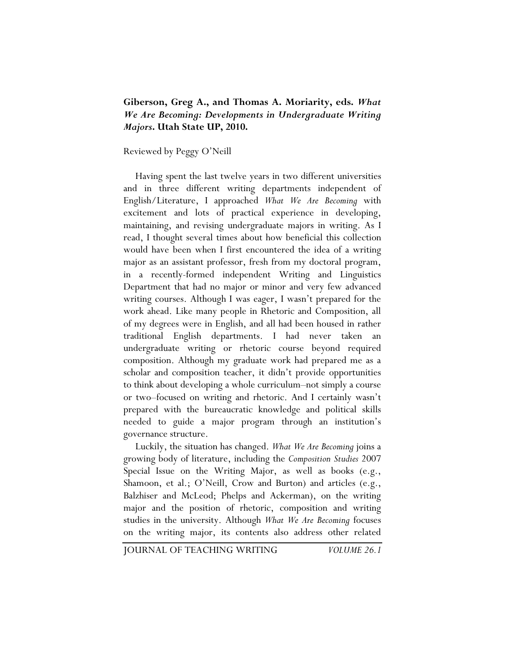## **Giberson, Greg A., and Thomas A. Moriarity, eds.** *What We Are Becoming: Developments in Undergraduate Writing Majors***. Utah State UP, 2010.**

Reviewed by Peggy O'Neill

Having spent the last twelve years in two different universities and in three different writing departments independent of English/Literature, I approached *What We Are Becoming* with excitement and lots of practical experience in developing, maintaining, and revising undergraduate majors in writing. As I read, I thought several times about how beneficial this collection would have been when I first encountered the idea of a writing major as an assistant professor, fresh from my doctoral program, in a recently-formed independent Writing and Linguistics Department that had no major or minor and very few advanced writing courses. Although I was eager, I wasn't prepared for the work ahead. Like many people in Rhetoric and Composition, all of my degrees were in English, and all had been housed in rather traditional English departments. I had never taken an undergraduate writing or rhetoric course beyond required composition. Although my graduate work had prepared me as a scholar and composition teacher, it didn't provide opportunities to think about developing a whole curriculum–not simply a course or two–focused on writing and rhetoric. And I certainly wasn't prepared with the bureaucratic knowledge and political skills needed to guide a major program through an institution's governance structure.

Luckily, the situation has changed. *What We Are Becoming* joins a growing body of literature, including the *Composition Studies* 2007 Special Issue on the Writing Major, as well as books (e.g., Shamoon, et al.; O'Neill, Crow and Burton) and articles (e.g., Balzhiser and McLeod; Phelps and Ackerman), on the writing major and the position of rhetoric, composition and writing studies in the university. Although *What We Are Becoming* focuses on the writing major, its contents also address other related

JOURNAL OF TEACHING WRITING *VOLUME 26.1*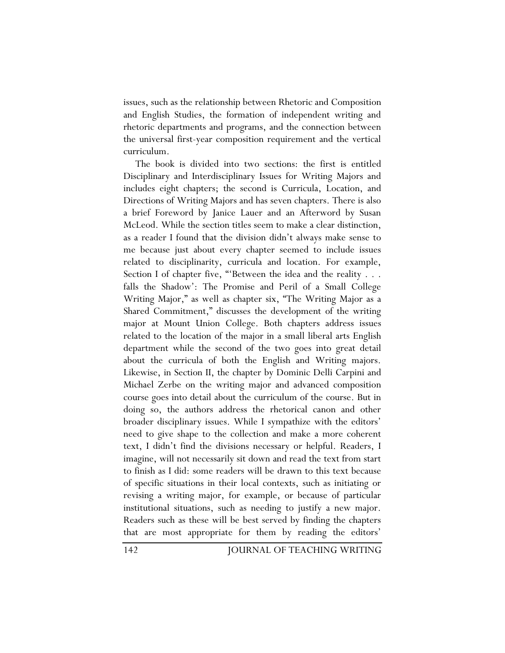issues, such as the relationship between Rhetoric and Composition and English Studies, the formation of independent writing and rhetoric departments and programs, and the connection between the universal first-year composition requirement and the vertical curriculum.

The book is divided into two sections: the first is entitled Disciplinary and Interdisciplinary Issues for Writing Majors and includes eight chapters; the second is Curricula, Location, and Directions of Writing Majors and has seven chapters. There is also a brief Foreword by Janice Lauer and an Afterword by Susan McLeod. While the section titles seem to make a clear distinction, as a reader I found that the division didn't always make sense to me because just about every chapter seemed to include issues related to disciplinarity, curricula and location. For example, Section I of chapter five, "'Between the idea and the reality . . . falls the Shadow': The Promise and Peril of a Small College Writing Major," as well as chapter six, "The Writing Major as a Shared Commitment," discusses the development of the writing major at Mount Union College. Both chapters address issues related to the location of the major in a small liberal arts English department while the second of the two goes into great detail about the curricula of both the English and Writing majors. Likewise, in Section II, the chapter by Dominic Delli Carpini and Michael Zerbe on the writing major and advanced composition course goes into detail about the curriculum of the course. But in doing so, the authors address the rhetorical canon and other broader disciplinary issues. While I sympathize with the editors' need to give shape to the collection and make a more coherent text, I didn't find the divisions necessary or helpful. Readers, I imagine, will not necessarily sit down and read the text from start to finish as I did: some readers will be drawn to this text because of specific situations in their local contexts, such as initiating or revising a writing major, for example, or because of particular institutional situations, such as needing to justify a new major. Readers such as these will be best served by finding the chapters that are most appropriate for them by reading the editors'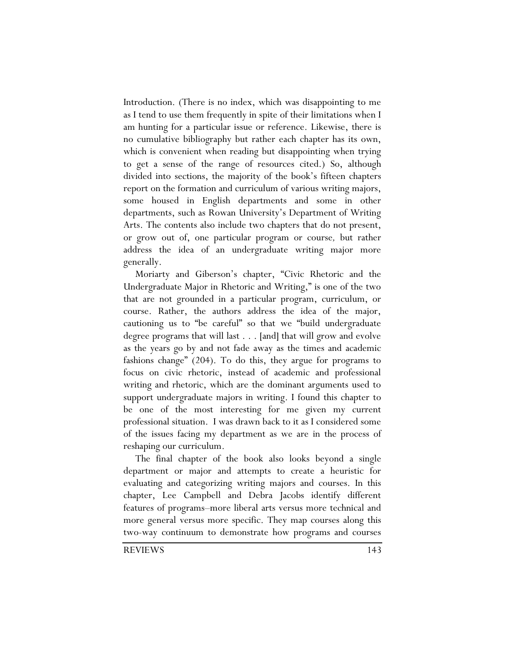Introduction. (There is no index, which was disappointing to me as I tend to use them frequently in spite of their limitations when I am hunting for a particular issue or reference. Likewise, there is no cumulative bibliography but rather each chapter has its own, which is convenient when reading but disappointing when trying to get a sense of the range of resources cited.) So, although divided into sections, the majority of the book's fifteen chapters report on the formation and curriculum of various writing majors, some housed in English departments and some in other departments, such as Rowan University's Department of Writing Arts. The contents also include two chapters that do not present, or grow out of, one particular program or course*,* but rather address the idea of an undergraduate writing major more generally.

Moriarty and Giberson's chapter, "Civic Rhetoric and the Undergraduate Major in Rhetoric and Writing," is one of the two that are not grounded in a particular program, curriculum, or course. Rather, the authors address the idea of the major, cautioning us to "be careful" so that we "build undergraduate degree programs that will last . . . [and] that will grow and evolve as the years go by and not fade away as the times and academic fashions change" (204). To do this, they argue for programs to focus on civic rhetoric, instead of academic and professional writing and rhetoric, which are the dominant arguments used to support undergraduate majors in writing. I found this chapter to be one of the most interesting for me given my current professional situation. I was drawn back to it as I considered some of the issues facing my department as we are in the process of reshaping our curriculum.

The final chapter of the book also looks beyond a single department or major and attempts to create a heuristic for evaluating and categorizing writing majors and courses. In this chapter, Lee Campbell and Debra Jacobs identify different features of programs–more liberal arts versus more technical and more general versus more specific. They map courses along this two-way continuum to demonstrate how programs and courses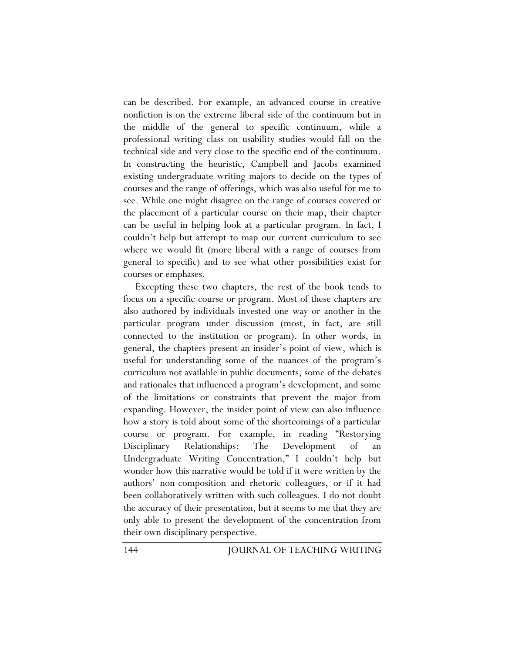can be described. For example, an advanced course in creative nonfiction is on the extreme liberal side of the continuum but in the middle of the general to specific continuum, while a professional writing class on usability studies would fall on the technical side and very close to the specific end of the continuum. In constructing the heuristic, Campbell and Jacobs examined existing undergraduate writing majors to decide on the types of courses and the range of offerings, which was also useful for me to see. While one might disagree on the range of courses covered or the placement of a particular course on their map, their chapter can be useful in helping look at a particular program. In fact, I couldn't help but attempt to map our current curriculum to see where we would fit (more liberal with a range of courses from general to specific) and to see what other possibilities exist for courses or emphases.

Excepting these two chapters, the rest of the book tends to focus on a specific course or program. Most of these chapters are also authored by individuals invested one way or another in the particular program under discussion (most, in fact, are still connected to the institution or program). In other words, in general, the chapters present an insider's point of view, which is useful for understanding some of the nuances of the program's curriculum not available in public documents, some of the debates and rationales that influenced a program's development, and some of the limitations or constraints that prevent the major from expanding. However, the insider point of view can also influence how a story is told about some of the shortcomings of a particular course or program. For example, in reading "Restorying Disciplinary Relationships: The Development of an Undergraduate Writing Concentration," I couldn't help but wonder how this narrative would be told if it were written by the authors' non-composition and rhetoric colleagues, or if it had been collaboratively written with such colleagues. I do not doubt the accuracy of their presentation, but it seems to me that they are only able to present the development of the concentration from their own disciplinary perspective.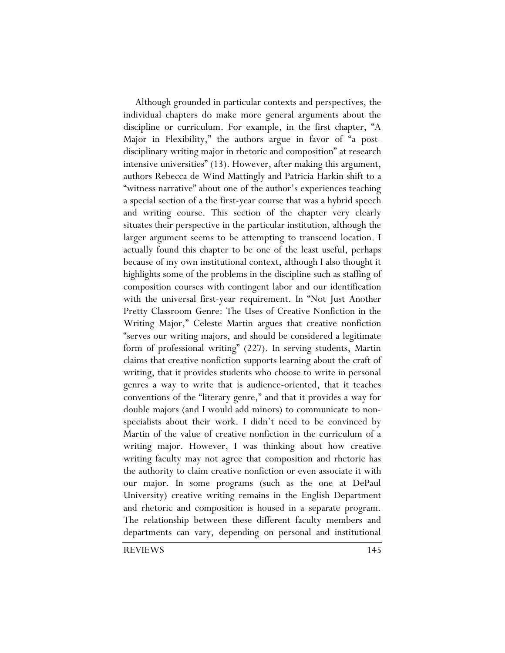Although grounded in particular contexts and perspectives, the individual chapters do make more general arguments about the discipline or curriculum. For example, in the first chapter, "A Major in Flexibility," the authors argue in favor of "a postdisciplinary writing major in rhetoric and composition" at research intensive universities" (13). However, after making this argument, authors Rebecca de Wind Mattingly and Patricia Harkin shift to a "witness narrative" about one of the author's experiences teaching a special section of a the first-year course that was a hybrid speech and writing course. This section of the chapter very clearly situates their perspective in the particular institution, although the larger argument seems to be attempting to transcend location. I actually found this chapter to be one of the least useful, perhaps because of my own institutional context, although I also thought it highlights some of the problems in the discipline such as staffing of composition courses with contingent labor and our identification with the universal first-year requirement. In "Not Just Another Pretty Classroom Genre: The Uses of Creative Nonfiction in the Writing Major," Celeste Martin argues that creative nonfiction "serves our writing majors, and should be considered a legitimate form of professional writing" (227). In serving students, Martin claims that creative nonfiction supports learning about the craft of writing, that it provides students who choose to write in personal genres a way to write that is audience-oriented, that it teaches conventions of the "literary genre," and that it provides a way for double majors (and I would add minors) to communicate to nonspecialists about their work. I didn't need to be convinced by Martin of the value of creative nonfiction in the curriculum of a writing major. However, I was thinking about how creative writing faculty may not agree that composition and rhetoric has the authority to claim creative nonfiction or even associate it with our major. In some programs (such as the one at DePaul University) creative writing remains in the English Department and rhetoric and composition is housed in a separate program. The relationship between these different faculty members and departments can vary, depending on personal and institutional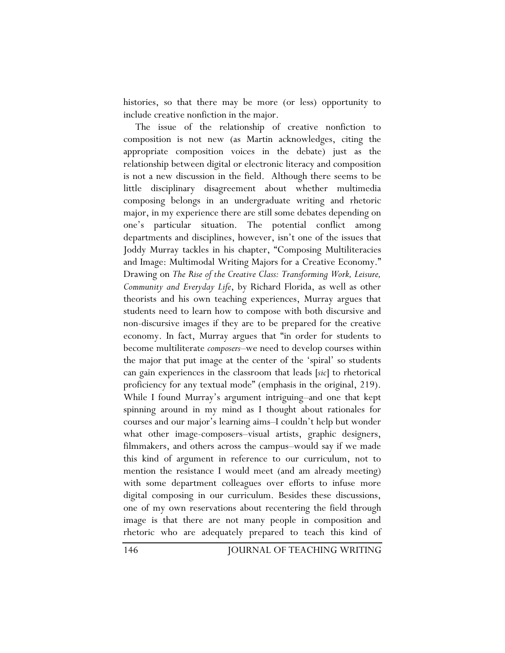histories, so that there may be more (or less) opportunity to include creative nonfiction in the major.

The issue of the relationship of creative nonfiction to composition is not new (as Martin acknowledges, citing the appropriate composition voices in the debate) just as the relationship between digital or electronic literacy and composition is not a new discussion in the field. Although there seems to be little disciplinary disagreement about whether multimedia composing belongs in an undergraduate writing and rhetoric major, in my experience there are still some debates depending on one's particular situation. The potential conflict among departments and disciplines, however, isn't one of the issues that Joddy Murray tackles in his chapter, "Composing Multiliteracies and Image: Multimodal Writing Majors for a Creative Economy." Drawing on *The Rise of the Creative Class: Transforming Work, Leisure, Community and Everyday Life*, by Richard Florida, as well as other theorists and his own teaching experiences, Murray argues that students need to learn how to compose with both discursive and non-discursive images if they are to be prepared for the creative economy. In fact, Murray argues that "in order for students to become multiliterate *composers*–we need to develop courses within the major that put image at the center of the 'spiral' so students can gain experiences in the classroom that leads [*sic*] to rhetorical proficiency for any textual mode" (emphasis in the original, 219). While I found Murray's argument intriguing–and one that kept spinning around in my mind as I thought about rationales for courses and our major's learning aims–I couldn't help but wonder what other image-composers–visual artists, graphic designers, filmmakers, and others across the campus–would say if we made this kind of argument in reference to our curriculum, not to mention the resistance I would meet (and am already meeting) with some department colleagues over efforts to infuse more digital composing in our curriculum. Besides these discussions, one of my own reservations about recentering the field through image is that there are not many people in composition and rhetoric who are adequately prepared to teach this kind of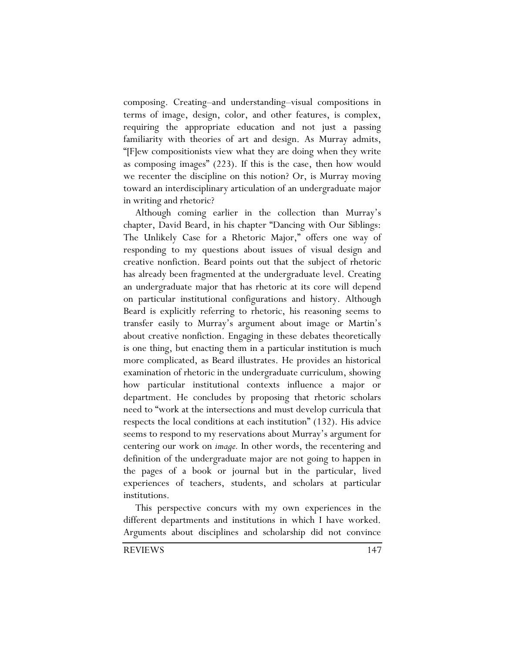composing. Creating–and understanding–visual compositions in terms of image, design, color, and other features, is complex, requiring the appropriate education and not just a passing familiarity with theories of art and design. As Murray admits, "[F]ew compositionists view what they are doing when they write as composing images" (223). If this is the case, then how would we recenter the discipline on this notion? Or, is Murray moving toward an interdisciplinary articulation of an undergraduate major in writing and rhetoric?

Although coming earlier in the collection than Murray's chapter, David Beard, in his chapter "Dancing with Our Siblings: The Unlikely Case for a Rhetoric Major," offers one way of responding to my questions about issues of visual design and creative nonfiction. Beard points out that the subject of rhetoric has already been fragmented at the undergraduate level. Creating an undergraduate major that has rhetoric at its core will depend on particular institutional configurations and history. Although Beard is explicitly referring to rhetoric, his reasoning seems to transfer easily to Murray's argument about image or Martin's about creative nonfiction. Engaging in these debates theoretically is one thing, but enacting them in a particular institution is much more complicated, as Beard illustrates. He provides an historical examination of rhetoric in the undergraduate curriculum, showing how particular institutional contexts influence a major or department. He concludes by proposing that rhetoric scholars need to "work at the intersections and must develop curricula that respects the local conditions at each institution" (132). His advice seems to respond to my reservations about Murray's argument for centering our work on *image.* In other words, the recentering and definition of the undergraduate major are not going to happen in the pages of a book or journal but in the particular, lived experiences of teachers, students, and scholars at particular institutions.

This perspective concurs with my own experiences in the different departments and institutions in which I have worked. Arguments about disciplines and scholarship did not convince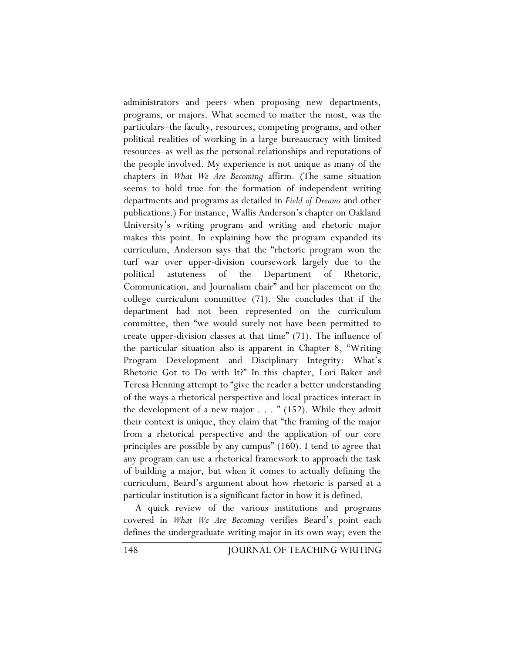administrators and peers when proposing new departments, programs, or majors. What seemed to matter the most, was the particulars–the faculty, resources, competing programs, and other political realities of working in a large bureaucracy with limited resources–as well as the personal relationships and reputations of the people involved. My experience is not unique as many of the chapters in *What We Are Becoming* affirm. (The same situation seems to hold true for the formation of independent writing departments and programs as detailed in *Field of Dreams* and other publications.) For instance, Wallis Anderson's chapter on Oakland University's writing program and writing and rhetoric major makes this point. In explaining how the program expanded its curriculum, Anderson says that the "rhetoric program won the turf war over upper-division coursework largely due to the political astuteness of the Department of Rhetoric, Communication, and Journalism chair" and her placement on the college curriculum committee (71). She concludes that if the department had not been represented on the curriculum committee, then "we would surely not have been permitted to create upper-division classes at that time" (71). The influence of the particular situation also is apparent in Chapter 8, "Writing Program Development and Disciplinary Integrity: What's Rhetoric Got to Do with It?" In this chapter, Lori Baker and Teresa Henning attempt to "give the reader a better understanding of the ways a rhetorical perspective and local practices interact in the development of a new major . . . " (152). While they admit their context is unique, they claim that "the framing of the major from a rhetorical perspective and the application of our core principles are possible by any campus" (160). I tend to agree that any program can use a rhetorical framework to approach the task of building a major, but when it comes to actually defining the curriculum, Beard's argument about how rhetoric is parsed at a particular institution is a significant factor in how it is defined.

A quick review of the various institutions and programs covered in *What We Are Becoming* verifies Beard's point–each defines the undergraduate writing major in its own way; even the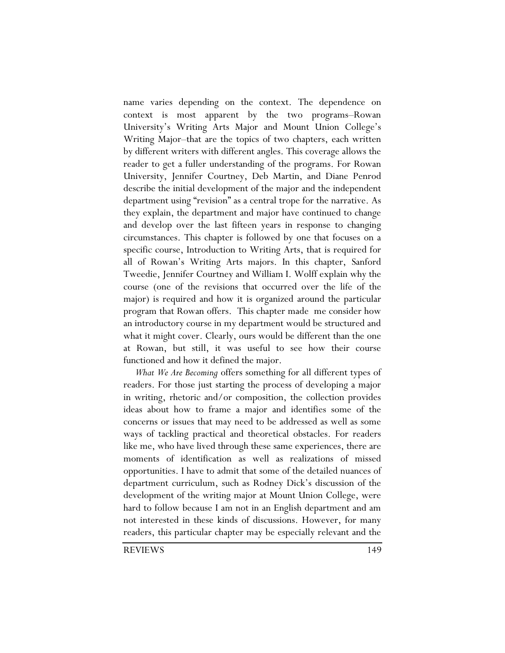name varies depending on the context. The dependence on context is most apparent by the two programs–Rowan University's Writing Arts Major and Mount Union College's Writing Major–that are the topics of two chapters, each written by different writers with different angles. This coverage allows the reader to get a fuller understanding of the programs. For Rowan University, Jennifer Courtney, Deb Martin, and Diane Penrod describe the initial development of the major and the independent department using "revision" as a central trope for the narrative. As they explain, the department and major have continued to change and develop over the last fifteen years in response to changing circumstances. This chapter is followed by one that focuses on a specific course, Introduction to Writing Arts, that is required for all of Rowan's Writing Arts majors. In this chapter, Sanford Tweedie, Jennifer Courtney and William I. Wolff explain why the course (one of the revisions that occurred over the life of the major) is required and how it is organized around the particular program that Rowan offers. This chapter made me consider how an introductory course in my department would be structured and what it might cover. Clearly, ours would be different than the one at Rowan, but still, it was useful to see how their course functioned and how it defined the major.

*What We Are Becoming* offers something for all different types of readers. For those just starting the process of developing a major in writing, rhetoric and/or composition, the collection provides ideas about how to frame a major and identifies some of the concerns or issues that may need to be addressed as well as some ways of tackling practical and theoretical obstacles. For readers like me, who have lived through these same experiences, there are moments of identification as well as realizations of missed opportunities. I have to admit that some of the detailed nuances of department curriculum, such as Rodney Dick's discussion of the development of the writing major at Mount Union College, were hard to follow because I am not in an English department and am not interested in these kinds of discussions. However, for many readers, this particular chapter may be especially relevant and the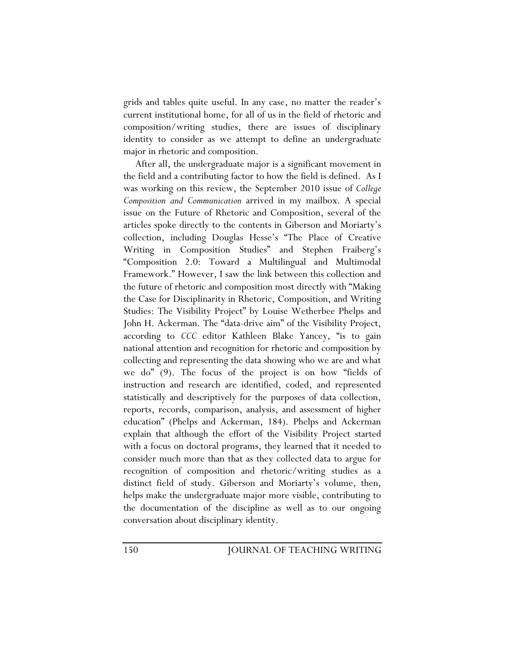grids and tables quite useful. In any case, no matter the reader's current institutional home, for all of us in the field of rhetoric and composition/writing studies, there are issues of disciplinary identity to consider as we attempt to define an undergraduate major in rhetoric and composition.

After all, the undergraduate major is a significant movement in the field and a contributing factor to how the field is defined. As I was working on this review, the September 2010 issue of *College Composition and Communication* arrived in my mailbox. A special issue on the Future of Rhetoric and Composition, several of the articles spoke directly to the contents in Giberson and Moriarty's collection, including Douglas Hesse's "The Place of Creative Writing in Composition Studies" and Stephen Fraiberg's "Composition 2.0: Toward a Multilingual and Multimodal Framework." However, I saw the link between this collection and the future of rhetoric and composition most directly with "Making the Case for Disciplinarity in Rhetoric, Composition, and Writing Studies: The Visibility Project" by Louise Wetherbee Phelps and John H. Ackerman. The "data-drive aim" of the Visibility Project, according to *CCC* editor Kathleen Blake Yancey, "is to gain national attention and recognition for rhetoric and composition by collecting and representing the data showing who we are and what we do" (9). The focus of the project is on how "fields of instruction and research are identified, coded, and represented statistically and descriptively for the purposes of data collection, reports, records, comparison, analysis, and assessment of higher education" (Phelps and Ackerman, 184). Phelps and Ackerman explain that although the effort of the Visibility Project started with a focus on doctoral programs, they learned that it needed to consider much more than that as they collected data to argue for recognition of composition and rhetoric/writing studies as a distinct field of study. Giberson and Moriarty's volume, then, helps make the undergraduate major more visible, contributing to the documentation of the discipline as well as to our ongoing conversation about disciplinary identity.